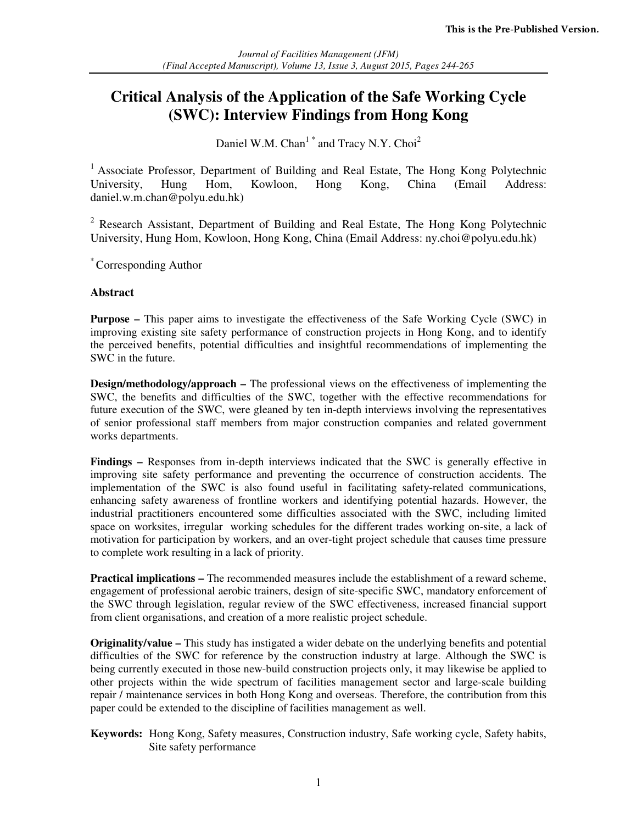# **Critical Analysis of the Application of the Safe Working Cycle (SWC): Interview Findings from Hong Kong**

Daniel W.M. Chan<sup>1</sup><sup>\*</sup> and Tracy N.Y. Choi<sup>2</sup>

<sup>1</sup> Associate Professor, Department of Building and Real Estate, The Hong Kong Polytechnic University, Hung Hom, Kowloon, Hong Kong, China (Email Address: daniel.w.m.chan@polyu.edu.hk)

<sup>2</sup> Research Assistant, Department of Building and Real Estate, The Hong Kong Polytechnic University, Hung Hom, Kowloon, Hong Kong, China (Email Address: ny.choi@polyu.edu.hk)

\* Corresponding Author

#### **Abstract**

**Purpose –** This paper aims to investigate the effectiveness of the Safe Working Cycle (SWC) in improving existing site safety performance of construction projects in Hong Kong, and to identify the perceived benefits, potential difficulties and insightful recommendations of implementing the SWC in the future.

**Design/methodology/approach** – The professional views on the effectiveness of implementing the SWC, the benefits and difficulties of the SWC, together with the effective recommendations for future execution of the SWC, were gleaned by ten in-depth interviews involving the representatives of senior professional staff members from major construction companies and related government works departments.

**Findings –** Responses from in-depth interviews indicated that the SWC is generally effective in improving site safety performance and preventing the occurrence of construction accidents. The implementation of the SWC is also found useful in facilitating safety-related communications, enhancing safety awareness of frontline workers and identifying potential hazards. However, the industrial practitioners encountered some difficulties associated with the SWC, including limited space on worksites, irregular working schedules for the different trades working on-site, a lack of motivation for participation by workers, and an over-tight project schedule that causes time pressure to complete work resulting in a lack of priority.

**Practical implications –** The recommended measures include the establishment of a reward scheme, engagement of professional aerobic trainers, design of site-specific SWC, mandatory enforcement of the SWC through legislation, regular review of the SWC effectiveness, increased financial support from client organisations, and creation of a more realistic project schedule.

**Originality/value –** This study has instigated a wider debate on the underlying benefits and potential difficulties of the SWC for reference by the construction industry at large. Although the SWC is being currently executed in those new-build construction projects only, it may likewise be applied to other projects within the wide spectrum of facilities management sector and large-scale building repair / maintenance services in both Hong Kong and overseas. Therefore, the contribution from this paper could be extended to the discipline of facilities management as well.

**Keywords:** Hong Kong, Safety measures, Construction industry, Safe working cycle, Safety habits, Site safety performance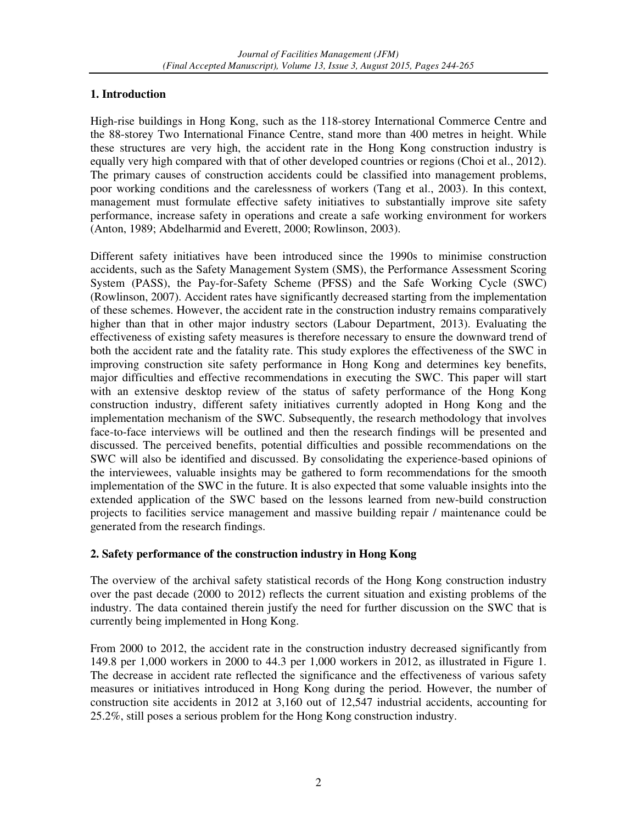#### **1. Introduction**

High-rise buildings in Hong Kong, such as the 118-storey International Commerce Centre and the 88-storey Two International Finance Centre, stand more than 400 metres in height. While these structures are very high, the accident rate in the Hong Kong construction industry is equally very high compared with that of other developed countries or regions (Choi et al., 2012). The primary causes of construction accidents could be classified into management problems, poor working conditions and the carelessness of workers (Tang et al., 2003). In this context, management must formulate effective safety initiatives to substantially improve site safety performance, increase safety in operations and create a safe working environment for workers (Anton, 1989; Abdelharmid and Everett, 2000; Rowlinson, 2003).

Different safety initiatives have been introduced since the 1990s to minimise construction accidents, such as the Safety Management System (SMS), the Performance Assessment Scoring System (PASS), the Pay-for-Safety Scheme (PFSS) and the Safe Working Cycle (SWC) (Rowlinson, 2007). Accident rates have significantly decreased starting from the implementation of these schemes. However, the accident rate in the construction industry remains comparatively higher than that in other major industry sectors (Labour Department, 2013). Evaluating the effectiveness of existing safety measures is therefore necessary to ensure the downward trend of both the accident rate and the fatality rate. This study explores the effectiveness of the SWC in improving construction site safety performance in Hong Kong and determines key benefits, major difficulties and effective recommendations in executing the SWC. This paper will start with an extensive desktop review of the status of safety performance of the Hong Kong construction industry, different safety initiatives currently adopted in Hong Kong and the implementation mechanism of the SWC. Subsequently, the research methodology that involves face-to-face interviews will be outlined and then the research findings will be presented and discussed. The perceived benefits, potential difficulties and possible recommendations on the SWC will also be identified and discussed. By consolidating the experience-based opinions of the interviewees, valuable insights may be gathered to form recommendations for the smooth implementation of the SWC in the future. It is also expected that some valuable insights into the extended application of the SWC based on the lessons learned from new-build construction projects to facilities service management and massive building repair / maintenance could be generated from the research findings.

### **2. Safety performance of the construction industry in Hong Kong**

The overview of the archival safety statistical records of the Hong Kong construction industry over the past decade (2000 to 2012) reflects the current situation and existing problems of the industry. The data contained therein justify the need for further discussion on the SWC that is currently being implemented in Hong Kong.

From 2000 to 2012, the accident rate in the construction industry decreased significantly from 149.8 per 1,000 workers in 2000 to 44.3 per 1,000 workers in 2012, as illustrated in Figure 1. The decrease in accident rate reflected the significance and the effectiveness of various safety measures or initiatives introduced in Hong Kong during the period. However, the number of construction site accidents in 2012 at 3,160 out of 12,547 industrial accidents, accounting for 25.2%, still poses a serious problem for the Hong Kong construction industry.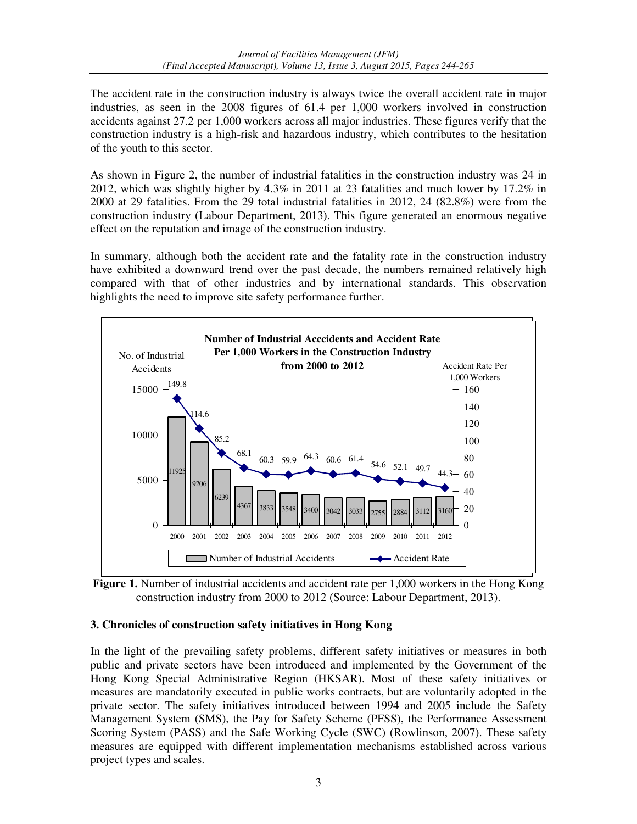The accident rate in the construction industry is always twice the overall accident rate in major industries, as seen in the 2008 figures of 61.4 per 1,000 workers involved in construction accidents against 27.2 per 1,000 workers across all major industries. These figures verify that the construction industry is a high-risk and hazardous industry, which contributes to the hesitation of the youth to this sector.

As shown in Figure 2, the number of industrial fatalities in the construction industry was 24 in 2012, which was slightly higher by 4.3% in 2011 at 23 fatalities and much lower by 17.2% in 2000 at 29 fatalities. From the 29 total industrial fatalities in 2012, 24 (82.8%) were from the construction industry (Labour Department, 2013). This figure generated an enormous negative effect on the reputation and image of the construction industry.

In summary, although both the accident rate and the fatality rate in the construction industry have exhibited a downward trend over the past decade, the numbers remained relatively high compared with that of other industries and by international standards. This observation highlights the need to improve site safety performance further.



Figure 1. Number of industrial accidents and accident rate per 1,000 workers in the Hong Kong construction industry from 2000 to 2012 (Source: Labour Department, 2013).

### **3. Chronicles of construction safety initiatives in Hong Kong**

In the light of the prevailing safety problems, different safety initiatives or measures in both public and private sectors have been introduced and implemented by the Government of the Hong Kong Special Administrative Region (HKSAR). Most of these safety initiatives or measures are mandatorily executed in public works contracts, but are voluntarily adopted in the private sector. The safety initiatives introduced between 1994 and 2005 include the Safety Management System (SMS), the Pay for Safety Scheme (PFSS), the Performance Assessment Scoring System (PASS) and the Safe Working Cycle (SWC) (Rowlinson, 2007). These safety measures are equipped with different implementation mechanisms established across various project types and scales.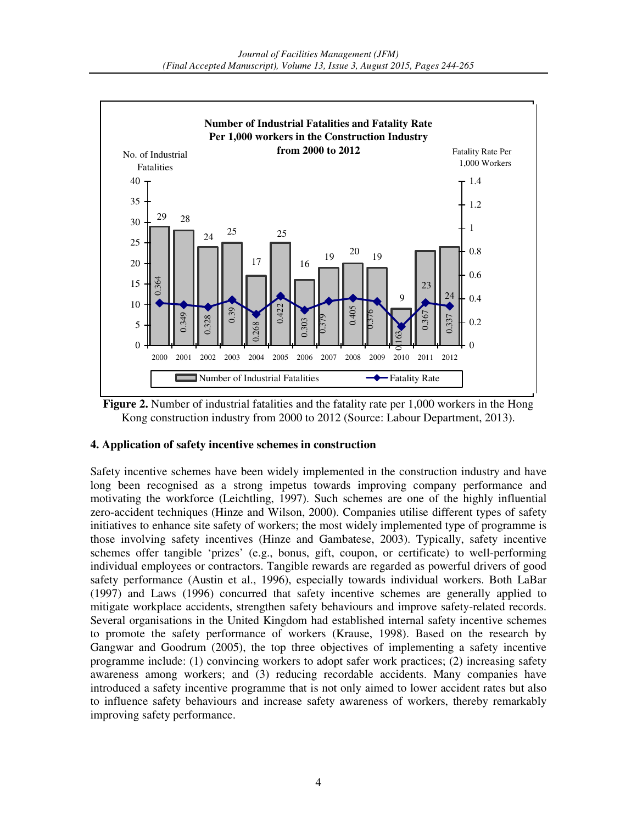

**Figure 2.** Number of industrial fatalities and the fatality rate per 1,000 workers in the Hong Kong construction industry from 2000 to 2012 (Source: Labour Department, 2013).

#### **4. Application of safety incentive schemes in construction**

Safety incentive schemes have been widely implemented in the construction industry and have long been recognised as a strong impetus towards improving company performance and motivating the workforce (Leichtling, 1997). Such schemes are one of the highly influential zero-accident techniques (Hinze and Wilson, 2000). Companies utilise different types of safety initiatives to enhance site safety of workers; the most widely implemented type of programme is those involving safety incentives (Hinze and Gambatese, 2003). Typically, safety incentive schemes offer tangible 'prizes' (e.g., bonus, gift, coupon, or certificate) to well-performing individual employees or contractors. Tangible rewards are regarded as powerful drivers of good safety performance (Austin et al., 1996), especially towards individual workers. Both LaBar (1997) and Laws (1996) concurred that safety incentive schemes are generally applied to mitigate workplace accidents, strengthen safety behaviours and improve safety-related records. Several organisations in the United Kingdom had established internal safety incentive schemes to promote the safety performance of workers (Krause, 1998). Based on the research by Gangwar and Goodrum (2005), the top three objectives of implementing a safety incentive programme include: (1) convincing workers to adopt safer work practices; (2) increasing safety awareness among workers; and (3) reducing recordable accidents. Many companies have introduced a safety incentive programme that is not only aimed to lower accident rates but also to influence safety behaviours and increase safety awareness of workers, thereby remarkably improving safety performance.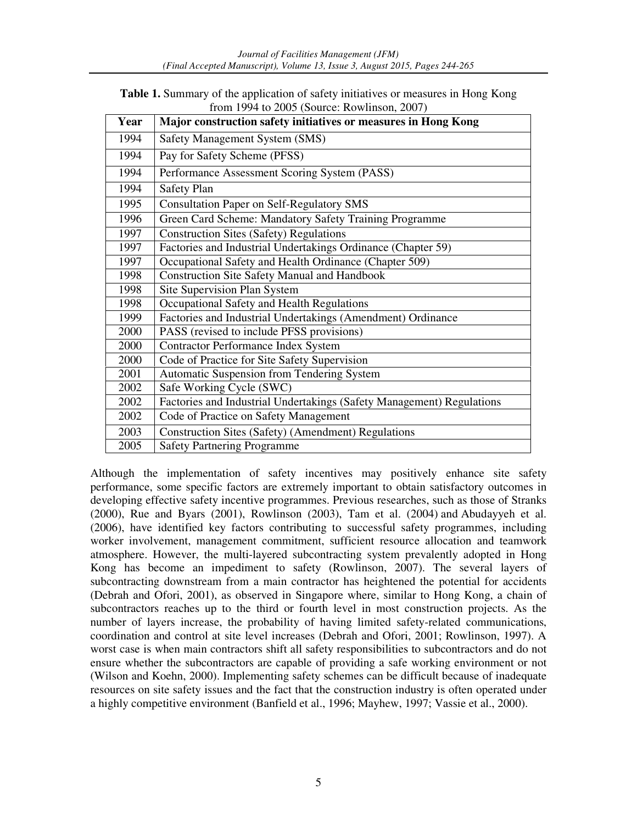| Year | Major construction safety initiatives or measures in Hong Kong        |  |  |  |  |  |  |  |  |
|------|-----------------------------------------------------------------------|--|--|--|--|--|--|--|--|
| 1994 | Safety Management System (SMS)                                        |  |  |  |  |  |  |  |  |
| 1994 | Pay for Safety Scheme (PFSS)                                          |  |  |  |  |  |  |  |  |
| 1994 | Performance Assessment Scoring System (PASS)                          |  |  |  |  |  |  |  |  |
| 1994 | <b>Safety Plan</b>                                                    |  |  |  |  |  |  |  |  |
| 1995 | <b>Consultation Paper on Self-Regulatory SMS</b>                      |  |  |  |  |  |  |  |  |
| 1996 | Green Card Scheme: Mandatory Safety Training Programme                |  |  |  |  |  |  |  |  |
| 1997 | <b>Construction Sites (Safety) Regulations</b>                        |  |  |  |  |  |  |  |  |
| 1997 | Factories and Industrial Undertakings Ordinance (Chapter 59)          |  |  |  |  |  |  |  |  |
| 1997 | Occupational Safety and Health Ordinance (Chapter 509)                |  |  |  |  |  |  |  |  |
| 1998 | <b>Construction Site Safety Manual and Handbook</b>                   |  |  |  |  |  |  |  |  |
| 1998 | Site Supervision Plan System                                          |  |  |  |  |  |  |  |  |
| 1998 | Occupational Safety and Health Regulations                            |  |  |  |  |  |  |  |  |
| 1999 | Factories and Industrial Undertakings (Amendment) Ordinance           |  |  |  |  |  |  |  |  |
| 2000 | PASS (revised to include PFSS provisions)                             |  |  |  |  |  |  |  |  |
| 2000 | <b>Contractor Performance Index System</b>                            |  |  |  |  |  |  |  |  |
| 2000 | Code of Practice for Site Safety Supervision                          |  |  |  |  |  |  |  |  |
| 2001 | Automatic Suspension from Tendering System                            |  |  |  |  |  |  |  |  |
| 2002 | Safe Working Cycle (SWC)                                              |  |  |  |  |  |  |  |  |
| 2002 | Factories and Industrial Undertakings (Safety Management) Regulations |  |  |  |  |  |  |  |  |
| 2002 | Code of Practice on Safety Management                                 |  |  |  |  |  |  |  |  |
| 2003 | <b>Construction Sites (Safety) (Amendment) Regulations</b>            |  |  |  |  |  |  |  |  |
| 2005 | <b>Safety Partnering Programme</b>                                    |  |  |  |  |  |  |  |  |

**Table 1.** Summary of the application of safety initiatives or measures in Hong Kong from  $1994$  to  $2005$  (Source: Rowlinson,  $2007$ )

Although the implementation of safety incentives may positively enhance site safety performance, some specific factors are extremely important to obtain satisfactory outcomes in developing effective safety incentive programmes. Previous researches, such as those of Stranks (2000), Rue and Byars (2001), Rowlinson (2003), Tam et al. (2004) and Abudayyeh et al. (2006), have identified key factors contributing to successful safety programmes, including worker involvement, management commitment, sufficient resource allocation and teamwork atmosphere. However, the multi-layered subcontracting system prevalently adopted in Hong Kong has become an impediment to safety (Rowlinson, 2007). The several layers of subcontracting downstream from a main contractor has heightened the potential for accidents (Debrah and Ofori, 2001), as observed in Singapore where, similar to Hong Kong, a chain of subcontractors reaches up to the third or fourth level in most construction projects. As the number of layers increase, the probability of having limited safety-related communications, coordination and control at site level increases (Debrah and Ofori, 2001; Rowlinson, 1997). A worst case is when main contractors shift all safety responsibilities to subcontractors and do not ensure whether the subcontractors are capable of providing a safe working environment or not (Wilson and Koehn, 2000). Implementing safety schemes can be difficult because of inadequate resources on site safety issues and the fact that the construction industry is often operated under a highly competitive environment (Banfield et al., 1996; Mayhew, 1997; Vassie et al., 2000).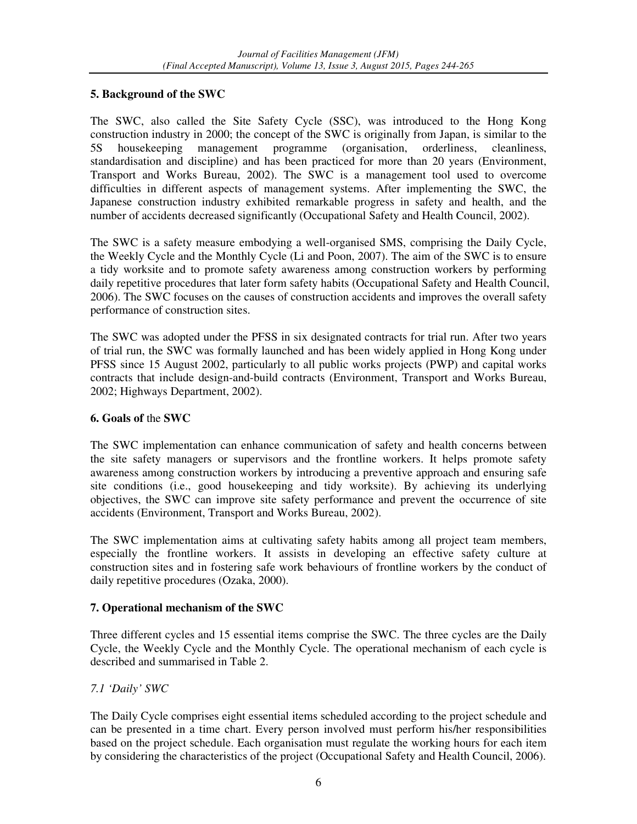### **5. Background of the SWC**

The SWC, also called the Site Safety Cycle (SSC), was introduced to the Hong Kong construction industry in 2000; the concept of the SWC is originally from Japan, is similar to the 5S housekeeping management programme (organisation, orderliness, cleanliness, standardisation and discipline) and has been practiced for more than 20 years (Environment, Transport and Works Bureau, 2002). The SWC is a management tool used to overcome difficulties in different aspects of management systems. After implementing the SWC, the Japanese construction industry exhibited remarkable progress in safety and health, and the number of accidents decreased significantly (Occupational Safety and Health Council, 2002).

The SWC is a safety measure embodying a well-organised SMS, comprising the Daily Cycle, the Weekly Cycle and the Monthly Cycle (Li and Poon, 2007). The aim of the SWC is to ensure a tidy worksite and to promote safety awareness among construction workers by performing daily repetitive procedures that later form safety habits (Occupational Safety and Health Council, 2006). The SWC focuses on the causes of construction accidents and improves the overall safety performance of construction sites.

The SWC was adopted under the PFSS in six designated contracts for trial run. After two years of trial run, the SWC was formally launched and has been widely applied in Hong Kong under PFSS since 15 August 2002, particularly to all public works projects (PWP) and capital works contracts that include design-and-build contracts (Environment, Transport and Works Bureau, 2002; Highways Department, 2002).

### **6. Goals of** the **SWC**

The SWC implementation can enhance communication of safety and health concerns between the site safety managers or supervisors and the frontline workers. It helps promote safety awareness among construction workers by introducing a preventive approach and ensuring safe site conditions (i.e., good housekeeping and tidy worksite). By achieving its underlying objectives, the SWC can improve site safety performance and prevent the occurrence of site accidents (Environment, Transport and Works Bureau, 2002).

The SWC implementation aims at cultivating safety habits among all project team members, especially the frontline workers. It assists in developing an effective safety culture at construction sites and in fostering safe work behaviours of frontline workers by the conduct of daily repetitive procedures (Ozaka, 2000).

### **7. Operational mechanism of the SWC**

Three different cycles and 15 essential items comprise the SWC. The three cycles are the Daily Cycle, the Weekly Cycle and the Monthly Cycle. The operational mechanism of each cycle is described and summarised in Table 2.

### *7.1 'Daily' SWC*

The Daily Cycle comprises eight essential items scheduled according to the project schedule and can be presented in a time chart. Every person involved must perform his/her responsibilities based on the project schedule. Each organisation must regulate the working hours for each item by considering the characteristics of the project (Occupational Safety and Health Council, 2006).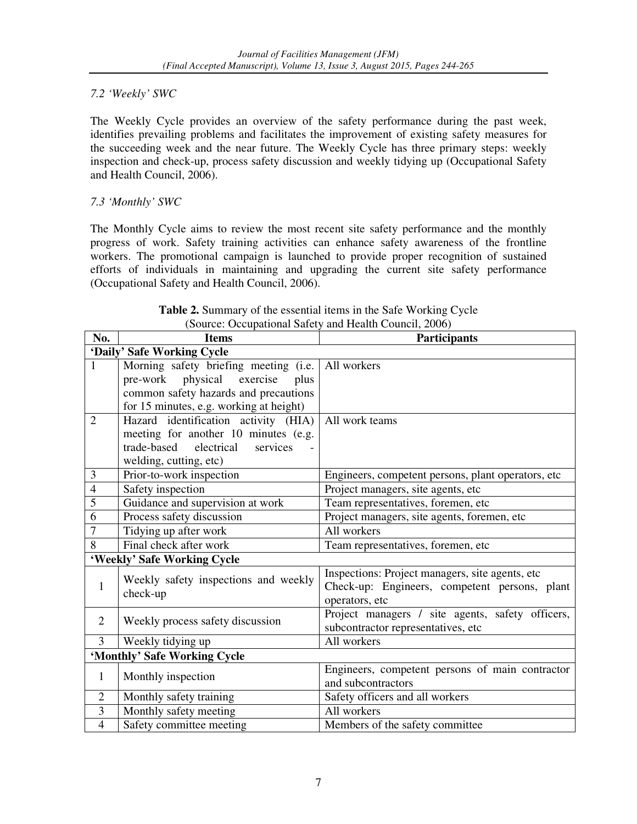### *7.2 'Weekly' SWC*

The Weekly Cycle provides an overview of the safety performance during the past week, identifies prevailing problems and facilitates the improvement of existing safety measures for the succeeding week and the near future. The Weekly Cycle has three primary steps: weekly inspection and check-up, process safety discussion and weekly tidying up (Occupational Safety and Health Council, 2006).

## *7.3 'Monthly' SWC*

The Monthly Cycle aims to review the most recent site safety performance and the monthly progress of work. Safety training activities can enhance safety awareness of the frontline workers. The promotional campaign is launched to provide proper recognition of sustained efforts of individuals in maintaining and upgrading the current site safety performance (Occupational Safety and Health Council, 2006).

| No.            | <b>Items</b>                                     | <b>Participants</b>                                 |  |  |  |  |  |  |  |
|----------------|--------------------------------------------------|-----------------------------------------------------|--|--|--|--|--|--|--|
|                | 'Daily' Safe Working Cycle                       |                                                     |  |  |  |  |  |  |  |
| $\mathbf{1}$   | Morning safety briefing meeting (i.e.            | All workers                                         |  |  |  |  |  |  |  |
|                | physical<br>pre-work<br>exercise<br>plus         |                                                     |  |  |  |  |  |  |  |
|                | common safety hazards and precautions            |                                                     |  |  |  |  |  |  |  |
|                | for 15 minutes, e.g. working at height)          |                                                     |  |  |  |  |  |  |  |
| $\overline{2}$ | Hazard identification activity (HIA)             | All work teams                                      |  |  |  |  |  |  |  |
|                | meeting for another 10 minutes (e.g.             |                                                     |  |  |  |  |  |  |  |
|                | trade-based<br>electrical<br>services            |                                                     |  |  |  |  |  |  |  |
|                | welding, cutting, etc)                           |                                                     |  |  |  |  |  |  |  |
| 3              | Prior-to-work inspection                         | Engineers, competent persons, plant operators, etc. |  |  |  |  |  |  |  |
| $\overline{4}$ | Safety inspection                                | Project managers, site agents, etc                  |  |  |  |  |  |  |  |
| 5              | Guidance and supervision at work                 | Team representatives, foremen, etc                  |  |  |  |  |  |  |  |
| 6              | Process safety discussion                        | Project managers, site agents, foremen, etc         |  |  |  |  |  |  |  |
| 7              | Tidying up after work                            | All workers                                         |  |  |  |  |  |  |  |
| 8              | Final check after work                           | Team representatives, foremen, etc                  |  |  |  |  |  |  |  |
|                | 'Weekly' Safe Working Cycle                      |                                                     |  |  |  |  |  |  |  |
|                | Weekly safety inspections and weekly<br>check-up | Inspections: Project managers, site agents, etc.    |  |  |  |  |  |  |  |
| $\mathbf{1}$   |                                                  | Check-up: Engineers, competent persons, plant       |  |  |  |  |  |  |  |
|                |                                                  | operators, etc                                      |  |  |  |  |  |  |  |
| $\overline{2}$ | Weekly process safety discussion                 | Project managers / site agents, safety officers,    |  |  |  |  |  |  |  |
|                |                                                  | subcontractor representatives, etc                  |  |  |  |  |  |  |  |
| 3              | Weekly tidying up                                | All workers                                         |  |  |  |  |  |  |  |
|                | 'Monthly' Safe Working Cycle                     |                                                     |  |  |  |  |  |  |  |
| $\mathbf{1}$   | Monthly inspection                               | Engineers, competent persons of main contractor     |  |  |  |  |  |  |  |
|                |                                                  | and subcontractors                                  |  |  |  |  |  |  |  |
| $\overline{2}$ | Monthly safety training                          | Safety officers and all workers                     |  |  |  |  |  |  |  |
| $\overline{3}$ | Monthly safety meeting                           | All workers                                         |  |  |  |  |  |  |  |
| $\overline{4}$ | Safety committee meeting                         | Members of the safety committee                     |  |  |  |  |  |  |  |

| <b>Table 2.</b> Summary of the essential items in the Safe Working Cycle |
|--------------------------------------------------------------------------|
| (Source: Occupational Safety and Health Council, 2006)                   |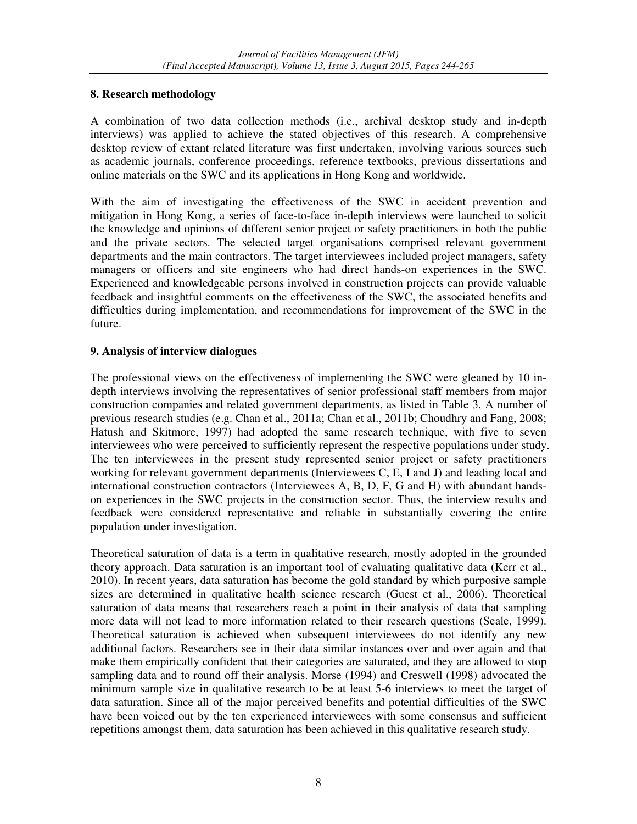#### **8. Research methodology**

A combination of two data collection methods (i.e., archival desktop study and in-depth interviews) was applied to achieve the stated objectives of this research. A comprehensive desktop review of extant related literature was first undertaken, involving various sources such as academic journals, conference proceedings, reference textbooks, previous dissertations and online materials on the SWC and its applications in Hong Kong and worldwide.

With the aim of investigating the effectiveness of the SWC in accident prevention and mitigation in Hong Kong, a series of face-to-face in-depth interviews were launched to solicit the knowledge and opinions of different senior project or safety practitioners in both the public and the private sectors. The selected target organisations comprised relevant government departments and the main contractors. The target interviewees included project managers, safety managers or officers and site engineers who had direct hands-on experiences in the SWC. Experienced and knowledgeable persons involved in construction projects can provide valuable feedback and insightful comments on the effectiveness of the SWC, the associated benefits and difficulties during implementation, and recommendations for improvement of the SWC in the future.

### **9. Analysis of interview dialogues**

The professional views on the effectiveness of implementing the SWC were gleaned by 10 indepth interviews involving the representatives of senior professional staff members from major construction companies and related government departments, as listed in Table 3. A number of previous research studies (e.g. Chan et al., 2011a; Chan et al., 2011b; Choudhry and Fang, 2008; Hatush and Skitmore, 1997) had adopted the same research technique, with five to seven interviewees who were perceived to sufficiently represent the respective populations under study. The ten interviewees in the present study represented senior project or safety practitioners working for relevant government departments (Interviewees C, E, I and J) and leading local and international construction contractors (Interviewees A, B, D, F, G and H) with abundant handson experiences in the SWC projects in the construction sector. Thus, the interview results and feedback were considered representative and reliable in substantially covering the entire population under investigation.

Theoretical saturation of data is a term in qualitative research, mostly adopted in the grounded theory approach. Data saturation is an important tool of evaluating qualitative data (Kerr et al., 2010). In recent years, data saturation has become the gold standard by which purposive sample sizes are determined in qualitative health science research (Guest et al., 2006). Theoretical saturation of data means that researchers reach a point in their analysis of data that sampling more data will not lead to more information related to their research questions (Seale, 1999). Theoretical saturation is achieved when subsequent interviewees do not identify any new additional factors. Researchers see in their data similar instances over and over again and that make them empirically confident that their categories are saturated, and they are allowed to stop sampling data and to round off their analysis. Morse (1994) and Creswell (1998) advocated the minimum sample size in qualitative research to be at least 5-6 interviews to meet the target of data saturation. Since all of the major perceived benefits and potential difficulties of the SWC have been voiced out by the ten experienced interviewees with some consensus and sufficient repetitions amongst them, data saturation has been achieved in this qualitative research study.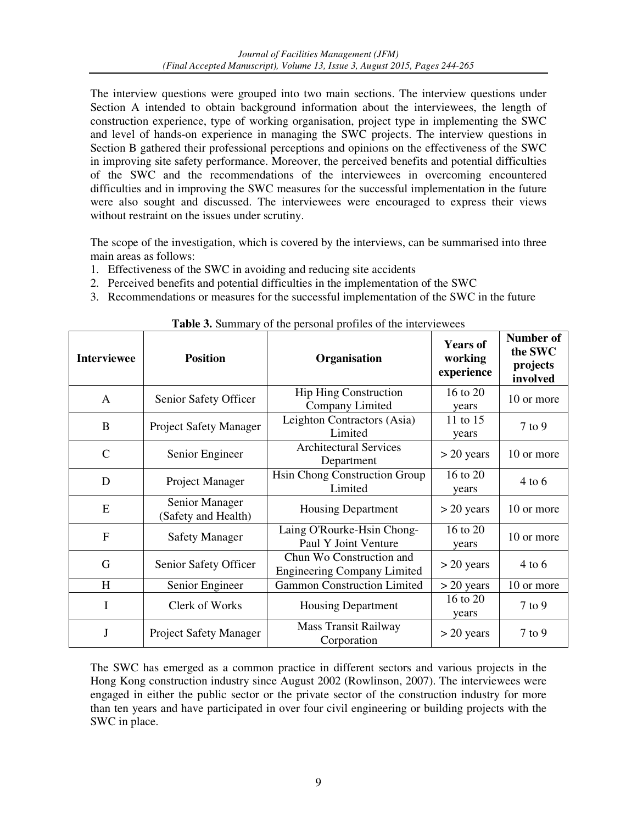The interview questions were grouped into two main sections. The interview questions under Section A intended to obtain background information about the interviewees, the length of construction experience, type of working organisation, project type in implementing the SWC and level of hands-on experience in managing the SWC projects. The interview questions in Section B gathered their professional perceptions and opinions on the effectiveness of the SWC in improving site safety performance. Moreover, the perceived benefits and potential difficulties of the SWC and the recommendations of the interviewees in overcoming encountered difficulties and in improving the SWC measures for the successful implementation in the future were also sought and discussed. The interviewees were encouraged to express their views without restraint on the issues under scrutiny.

The scope of the investigation, which is covered by the interviews, can be summarised into three main areas as follows:

- 1. Effectiveness of the SWC in avoiding and reducing site accidents
- 2. Perceived benefits and potential difficulties in the implementation of the SWC
- 3. Recommendations or measures for the successful implementation of the SWC in the future

| <b>Interviewee</b> | <b>Position</b>                       | Organisation                                                   | <b>Years of</b><br>working<br>experience | <b>Number of</b><br>the SWC<br>projects<br>involved |
|--------------------|---------------------------------------|----------------------------------------------------------------|------------------------------------------|-----------------------------------------------------|
| A                  | Senior Safety Officer                 | <b>Hip Hing Construction</b><br>Company Limited                | 16 to 20<br>years                        | 10 or more                                          |
| B                  | <b>Project Safety Manager</b>         | Leighton Contractors (Asia)<br>Limited                         | 11 to 15<br>years                        | $7$ to $9$                                          |
| $\mathcal{C}$      | Senior Engineer                       | <b>Architectural Services</b><br>Department                    | $>$ 20 years                             | 10 or more                                          |
| D                  | Project Manager                       | Hsin Chong Construction Group<br>Limited                       | 16 to 20<br>years                        | $4$ to 6                                            |
| E                  | Senior Manager<br>(Safety and Health) | <b>Housing Department</b>                                      | $>$ 20 years                             | 10 or more                                          |
| $\mathbf{F}$       | <b>Safety Manager</b>                 | Laing O'Rourke-Hsin Chong-<br>Paul Y Joint Venture             | 16 to 20<br>years                        | 10 or more                                          |
| G                  | Senior Safety Officer                 | Chun Wo Construction and<br><b>Engineering Company Limited</b> | $>$ 20 years                             | $4$ to 6                                            |
| H                  | Senior Engineer                       | <b>Gammon Construction Limited</b>                             | $>$ 20 years                             | 10 or more                                          |
| I                  | Clerk of Works                        | <b>Housing Department</b>                                      | 16 to 20<br>years                        | $7$ to $9$                                          |
| J                  | <b>Project Safety Manager</b>         | <b>Mass Transit Railway</b><br>Corporation                     | $> 20$ years                             | $7$ to $9$                                          |

**Table 3.** Summary of the personal profiles of the interviewees

The SWC has emerged as a common practice in different sectors and various projects in the Hong Kong construction industry since August 2002 (Rowlinson, 2007). The interviewees were engaged in either the public sector or the private sector of the construction industry for more than ten years and have participated in over four civil engineering or building projects with the SWC in place.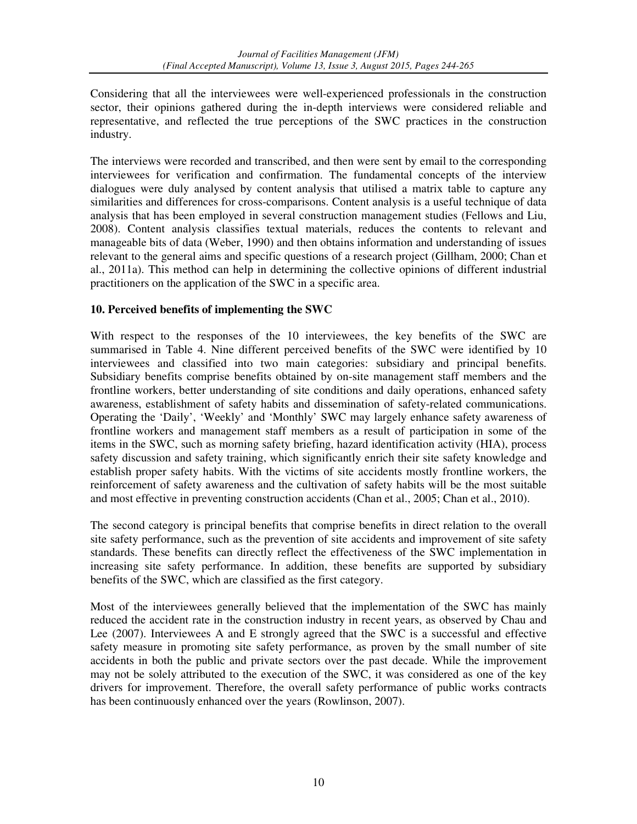Considering that all the interviewees were well-experienced professionals in the construction sector, their opinions gathered during the in-depth interviews were considered reliable and representative, and reflected the true perceptions of the SWC practices in the construction industry.

The interviews were recorded and transcribed, and then were sent by email to the corresponding interviewees for verification and confirmation. The fundamental concepts of the interview dialogues were duly analysed by content analysis that utilised a matrix table to capture any similarities and differences for cross-comparisons. Content analysis is a useful technique of data analysis that has been employed in several construction management studies (Fellows and Liu, 2008). Content analysis classifies textual materials, reduces the contents to relevant and manageable bits of data (Weber, 1990) and then obtains information and understanding of issues relevant to the general aims and specific questions of a research project (Gillham, 2000; Chan et al., 2011a). This method can help in determining the collective opinions of different industrial practitioners on the application of the SWC in a specific area.

## **10. Perceived benefits of implementing the SWC**

With respect to the responses of the 10 interviewees, the key benefits of the SWC are summarised in Table 4. Nine different perceived benefits of the SWC were identified by 10 interviewees and classified into two main categories: subsidiary and principal benefits. Subsidiary benefits comprise benefits obtained by on-site management staff members and the frontline workers, better understanding of site conditions and daily operations, enhanced safety awareness, establishment of safety habits and dissemination of safety-related communications. Operating the 'Daily', 'Weekly' and 'Monthly' SWC may largely enhance safety awareness of frontline workers and management staff members as a result of participation in some of the items in the SWC, such as morning safety briefing, hazard identification activity (HIA), process safety discussion and safety training, which significantly enrich their site safety knowledge and establish proper safety habits. With the victims of site accidents mostly frontline workers, the reinforcement of safety awareness and the cultivation of safety habits will be the most suitable and most effective in preventing construction accidents (Chan et al., 2005; Chan et al., 2010).

The second category is principal benefits that comprise benefits in direct relation to the overall site safety performance, such as the prevention of site accidents and improvement of site safety standards. These benefits can directly reflect the effectiveness of the SWC implementation in increasing site safety performance. In addition, these benefits are supported by subsidiary benefits of the SWC, which are classified as the first category.

Most of the interviewees generally believed that the implementation of the SWC has mainly reduced the accident rate in the construction industry in recent years, as observed by Chau and Lee (2007). Interviewees A and E strongly agreed that the SWC is a successful and effective safety measure in promoting site safety performance, as proven by the small number of site accidents in both the public and private sectors over the past decade. While the improvement may not be solely attributed to the execution of the SWC, it was considered as one of the key drivers for improvement. Therefore, the overall safety performance of public works contracts has been continuously enhanced over the years (Rowlinson, 2007).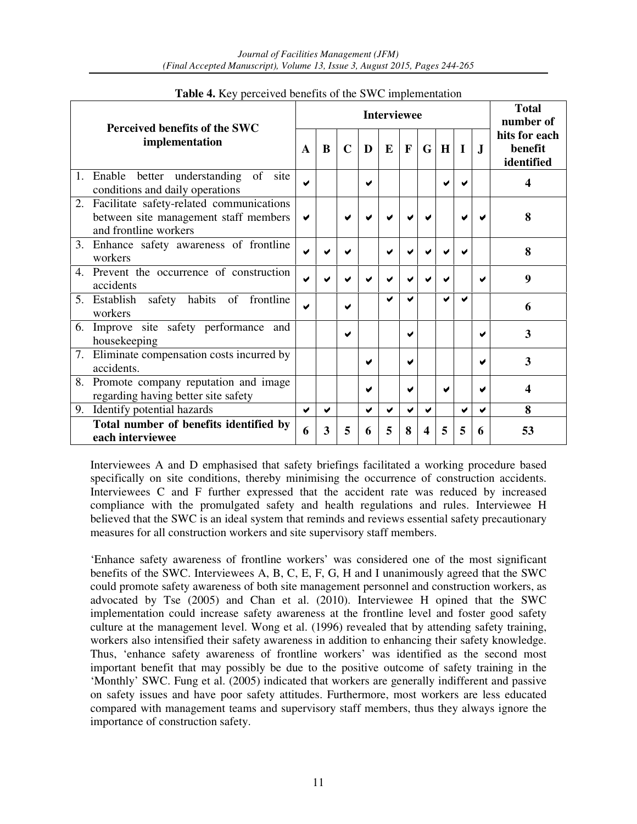*Journal of Facilities Management (JFM) (Final Accepted Manuscript), Volume 13, Issue 3, August 2015, Pages 244-265* 

| <b>Perceived benefits of the SWC</b><br>implementation |                                                                                                            | <b>Table 4.</b> INCY perceived benefits of the SWC implementation<br><b>Interviewee</b> |                         |             |                       |                      |              |                       |     |   |                      | <b>Total</b><br>number of              |
|--------------------------------------------------------|------------------------------------------------------------------------------------------------------------|-----------------------------------------------------------------------------------------|-------------------------|-------------|-----------------------|----------------------|--------------|-----------------------|-----|---|----------------------|----------------------------------------|
|                                                        |                                                                                                            | A                                                                                       | B                       | $\mathbf C$ | D                     | E                    | $\mathbf{F}$ | $\mathbf G$           | H I |   | $\bf J$              | hits for each<br>benefit<br>identified |
|                                                        | better understanding of site<br>1. Enable<br>conditions and daily operations                               | ✔                                                                                       |                         |             | ✔                     |                      |              |                       | ✔   |   |                      | 4                                      |
| 2.                                                     | Facilitate safety-related communications<br>between site management staff members<br>and frontline workers | $\blacktriangledown$                                                                    |                         | ✔           |                       |                      |              |                       |     |   |                      | 8                                      |
|                                                        | 3. Enhance safety awareness of frontline<br>workers                                                        | ✔                                                                                       |                         |             |                       | ✔                    |              |                       |     |   |                      | 8                                      |
|                                                        | 4. Prevent the occurrence of construction<br>accidents                                                     | ✔                                                                                       |                         |             |                       |                      |              |                       |     |   | ✔                    | 9                                      |
|                                                        | 5. Establish safety habits of frontline<br>workers                                                         | v                                                                                       |                         | ✔           |                       | ✔                    |              |                       | ✔   |   |                      | 6                                      |
|                                                        | 6. Improve site safety performance and<br>housekeeping                                                     |                                                                                         |                         | ✔           |                       |                      | ✔            |                       |     |   | ✔                    | 3                                      |
|                                                        | 7. Eliminate compensation costs incurred by<br>accidents.                                                  |                                                                                         |                         |             | ✔                     |                      | ✔            |                       |     |   | ✔                    | 3                                      |
|                                                        | 8. Promote company reputation and image<br>regarding having better site safety                             |                                                                                         |                         |             |                       |                      |              |                       | ✔   |   | ✔                    | 4                                      |
|                                                        | 9. Identify potential hazards                                                                              | $\blacktriangleright$                                                                   | $\overline{\mathbf{v}}$ |             | $\blacktriangleright$ | $\blacktriangledown$ | $\mathbf v$  | $\blacktriangleright$ |     | V | $\blacktriangledown$ | 8                                      |
|                                                        | Total number of benefits identified by<br>each interviewee                                                 | 6                                                                                       | 3                       | 5           | 6                     | 5                    | 8            | 4                     | 5   | 5 | 6                    | 53                                     |

**Table 4.** Key perceived benefits of the SWC implementation

Interviewees A and D emphasised that safety briefings facilitated a working procedure based specifically on site conditions, thereby minimising the occurrence of construction accidents. Interviewees C and F further expressed that the accident rate was reduced by increased compliance with the promulgated safety and health regulations and rules. Interviewee H believed that the SWC is an ideal system that reminds and reviews essential safety precautionary measures for all construction workers and site supervisory staff members.

'Enhance safety awareness of frontline workers' was considered one of the most significant benefits of the SWC. Interviewees A, B, C, E, F, G, H and I unanimously agreed that the SWC could promote safety awareness of both site management personnel and construction workers, as advocated by Tse (2005) and Chan et al. (2010). Interviewee H opined that the SWC implementation could increase safety awareness at the frontline level and foster good safety culture at the management level. Wong et al. (1996) revealed that by attending safety training, workers also intensified their safety awareness in addition to enhancing their safety knowledge. Thus, 'enhance safety awareness of frontline workers' was identified as the second most important benefit that may possibly be due to the positive outcome of safety training in the 'Monthly' SWC. Fung et al. (2005) indicated that workers are generally indifferent and passive on safety issues and have poor safety attitudes. Furthermore, most workers are less educated compared with management teams and supervisory staff members, thus they always ignore the importance of construction safety.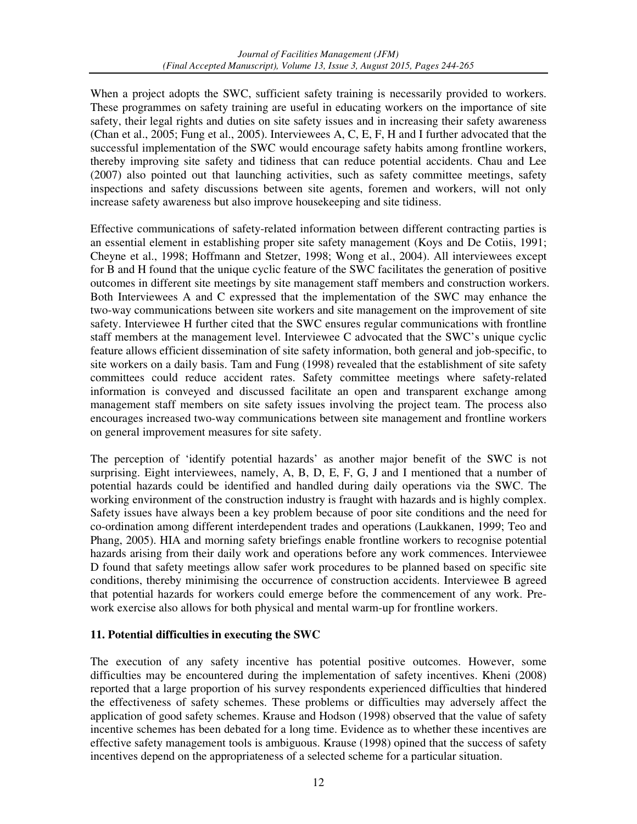When a project adopts the SWC, sufficient safety training is necessarily provided to workers. These programmes on safety training are useful in educating workers on the importance of site safety, their legal rights and duties on site safety issues and in increasing their safety awareness (Chan et al., 2005; Fung et al., 2005). Interviewees A, C, E, F, H and I further advocated that the successful implementation of the SWC would encourage safety habits among frontline workers, thereby improving site safety and tidiness that can reduce potential accidents. Chau and Lee (2007) also pointed out that launching activities, such as safety committee meetings, safety inspections and safety discussions between site agents, foremen and workers, will not only increase safety awareness but also improve housekeeping and site tidiness.

Effective communications of safety-related information between different contracting parties is an essential element in establishing proper site safety management (Koys and De Cotiis, 1991; Cheyne et al., 1998; Hoffmann and Stetzer, 1998; Wong et al., 2004). All interviewees except for B and H found that the unique cyclic feature of the SWC facilitates the generation of positive outcomes in different site meetings by site management staff members and construction workers. Both Interviewees A and C expressed that the implementation of the SWC may enhance the two-way communications between site workers and site management on the improvement of site safety. Interviewee H further cited that the SWC ensures regular communications with frontline staff members at the management level. Interviewee C advocated that the SWC's unique cyclic feature allows efficient dissemination of site safety information, both general and job-specific, to site workers on a daily basis. Tam and Fung (1998) revealed that the establishment of site safety committees could reduce accident rates. Safety committee meetings where safety-related information is conveyed and discussed facilitate an open and transparent exchange among management staff members on site safety issues involving the project team. The process also encourages increased two-way communications between site management and frontline workers on general improvement measures for site safety.

The perception of 'identify potential hazards' as another major benefit of the SWC is not surprising. Eight interviewees, namely, A, B, D, E, F, G, J and I mentioned that a number of potential hazards could be identified and handled during daily operations via the SWC. The working environment of the construction industry is fraught with hazards and is highly complex. Safety issues have always been a key problem because of poor site conditions and the need for co-ordination among different interdependent trades and operations (Laukkanen, 1999; Teo and Phang, 2005). HIA and morning safety briefings enable frontline workers to recognise potential hazards arising from their daily work and operations before any work commences. Interviewee D found that safety meetings allow safer work procedures to be planned based on specific site conditions, thereby minimising the occurrence of construction accidents. Interviewee B agreed that potential hazards for workers could emerge before the commencement of any work. Prework exercise also allows for both physical and mental warm-up for frontline workers.

### **11. Potential difficulties in executing the SWC**

The execution of any safety incentive has potential positive outcomes. However, some difficulties may be encountered during the implementation of safety incentives. Kheni (2008) reported that a large proportion of his survey respondents experienced difficulties that hindered the effectiveness of safety schemes. These problems or difficulties may adversely affect the application of good safety schemes. Krause and Hodson (1998) observed that the value of safety incentive schemes has been debated for a long time. Evidence as to whether these incentives are effective safety management tools is ambiguous. Krause (1998) opined that the success of safety incentives depend on the appropriateness of a selected scheme for a particular situation.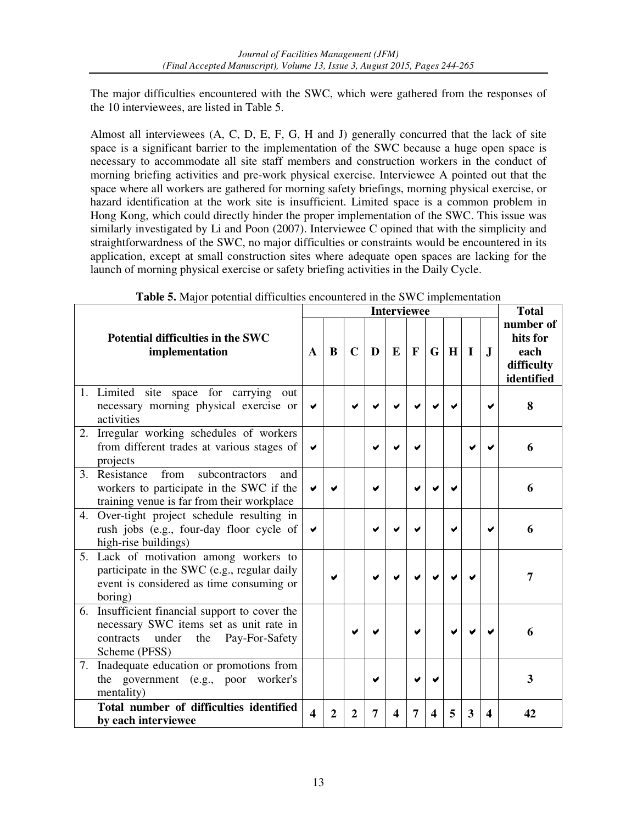The major difficulties encountered with the SWC, which were gathered from the responses of the 10 interviewees, are listed in Table 5.

Almost all interviewees (A, C, D, E, F, G, H and J) generally concurred that the lack of site space is a significant barrier to the implementation of the SWC because a huge open space is necessary to accommodate all site staff members and construction workers in the conduct of morning briefing activities and pre-work physical exercise. Interviewee A pointed out that the space where all workers are gathered for morning safety briefings, morning physical exercise, or hazard identification at the work site is insufficient. Limited space is a common problem in Hong Kong, which could directly hinder the proper implementation of the SWC. This issue was similarly investigated by Li and Poon (2007). Interviewee C opined that with the simplicity and straightforwardness of the SWC, no major difficulties or constraints would be encountered in its application, except at small construction sites where adequate open spaces are lacking for the launch of morning physical exercise or safety briefing activities in the Daily Cycle.

|                                                     |                                                                                                                                                                      |                         |              | <b>Interviewee</b> |   |   |              |   |   |             |                         |                                                           |  |
|-----------------------------------------------------|----------------------------------------------------------------------------------------------------------------------------------------------------------------------|-------------------------|--------------|--------------------|---|---|--------------|---|---|-------------|-------------------------|-----------------------------------------------------------|--|
| Potential difficulties in the SWC<br>implementation |                                                                                                                                                                      | $\mathbf A$             | B            | $\mathbf C$        | D | E | $\mathbf{F}$ | G | H | $\mathbf I$ | $\mathbf{J}$            | number of<br>hits for<br>each<br>difficulty<br>identified |  |
|                                                     | 1. Limited site space for carrying out<br>necessary morning physical exercise or<br>activities                                                                       | ✔                       |              |                    |   |   |              |   |   |             |                         | 8                                                         |  |
| 2.                                                  | Irregular working schedules of workers<br>from different trades at various stages of<br>projects                                                                     | ✔                       |              |                    | v |   |              |   |   |             | ✔                       | 6                                                         |  |
| 3.                                                  | from<br>subcontractors<br>Resistance<br>and<br>workers to participate in the SWC if the<br>training venue is far from their workplace                                | $\checkmark$            | ✔            |                    |   |   |              |   |   |             |                         | 6                                                         |  |
|                                                     | 4. Over-tight project schedule resulting in<br>rush jobs (e.g., four-day floor cycle of<br>high-rise buildings)                                                      | $\blacktriangledown$    |              |                    |   |   |              |   |   |             |                         | 6                                                         |  |
|                                                     | 5. Lack of motivation among workers to<br>participate in the SWC (e.g., regular daily<br>event is considered as time consuming or<br>boring)                         |                         |              |                    |   |   |              |   |   |             |                         | 7                                                         |  |
|                                                     | $\overline{6}$ . Insufficient financial support to cover the<br>necessary SWC items set as unit rate in<br>the Pay-For-Safety<br>contracts<br>under<br>Scheme (PFSS) |                         |              |                    |   |   | ✔            |   | v |             |                         | 6                                                         |  |
|                                                     | 7. Inadequate education or promotions from<br>the government (e.g., poor worker's<br>mentality)                                                                      |                         |              |                    |   |   |              |   |   |             |                         | 3                                                         |  |
|                                                     | Total number of difficulties identified<br>by each interviewee                                                                                                       | $\overline{\mathbf{4}}$ | $\mathbf{2}$ | $\overline{2}$     | 7 | 4 | 7            | 4 | 5 | 3           | $\overline{\mathbf{4}}$ | 42                                                        |  |

**Table 5.** Major potential difficulties encountered in the SWC implementation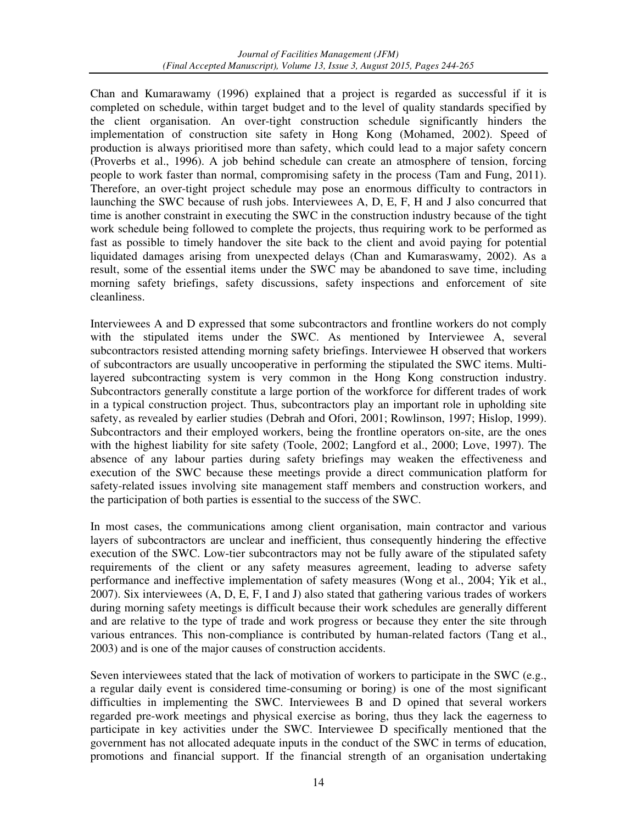Chan and Kumarawamy (1996) explained that a project is regarded as successful if it is completed on schedule, within target budget and to the level of quality standards specified by the client organisation. An over-tight construction schedule significantly hinders the implementation of construction site safety in Hong Kong (Mohamed, 2002). Speed of production is always prioritised more than safety, which could lead to a major safety concern (Proverbs et al., 1996). A job behind schedule can create an atmosphere of tension, forcing people to work faster than normal, compromising safety in the process (Tam and Fung, 2011). Therefore, an over-tight project schedule may pose an enormous difficulty to contractors in launching the SWC because of rush jobs. Interviewees A, D, E, F, H and J also concurred that time is another constraint in executing the SWC in the construction industry because of the tight work schedule being followed to complete the projects, thus requiring work to be performed as fast as possible to timely handover the site back to the client and avoid paying for potential liquidated damages arising from unexpected delays (Chan and Kumaraswamy, 2002). As a result, some of the essential items under the SWC may be abandoned to save time, including morning safety briefings, safety discussions, safety inspections and enforcement of site cleanliness.

Interviewees A and D expressed that some subcontractors and frontline workers do not comply with the stipulated items under the SWC. As mentioned by Interviewee A, several subcontractors resisted attending morning safety briefings. Interviewee H observed that workers of subcontractors are usually uncooperative in performing the stipulated the SWC items. Multilayered subcontracting system is very common in the Hong Kong construction industry. Subcontractors generally constitute a large portion of the workforce for different trades of work in a typical construction project. Thus, subcontractors play an important role in upholding site safety, as revealed by earlier studies (Debrah and Ofori, 2001; Rowlinson, 1997; Hislop, 1999). Subcontractors and their employed workers, being the frontline operators on-site, are the ones with the highest liability for site safety (Toole, 2002; Langford et al., 2000; Love, 1997). The absence of any labour parties during safety briefings may weaken the effectiveness and execution of the SWC because these meetings provide a direct communication platform for safety-related issues involving site management staff members and construction workers, and the participation of both parties is essential to the success of the SWC.

In most cases, the communications among client organisation, main contractor and various layers of subcontractors are unclear and inefficient, thus consequently hindering the effective execution of the SWC. Low-tier subcontractors may not be fully aware of the stipulated safety requirements of the client or any safety measures agreement, leading to adverse safety performance and ineffective implementation of safety measures (Wong et al., 2004; Yik et al., 2007). Six interviewees (A, D, E, F, I and J) also stated that gathering various trades of workers during morning safety meetings is difficult because their work schedules are generally different and are relative to the type of trade and work progress or because they enter the site through various entrances. This non-compliance is contributed by human-related factors (Tang et al., 2003) and is one of the major causes of construction accidents.

Seven interviewees stated that the lack of motivation of workers to participate in the SWC (e.g., a regular daily event is considered time-consuming or boring) is one of the most significant difficulties in implementing the SWC. Interviewees B and D opined that several workers regarded pre-work meetings and physical exercise as boring, thus they lack the eagerness to participate in key activities under the SWC. Interviewee D specifically mentioned that the government has not allocated adequate inputs in the conduct of the SWC in terms of education, promotions and financial support. If the financial strength of an organisation undertaking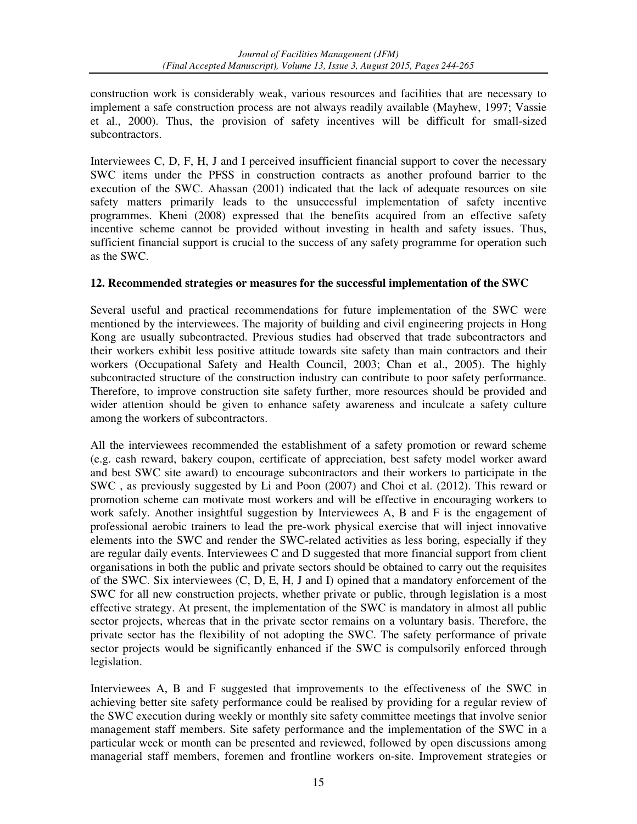construction work is considerably weak, various resources and facilities that are necessary to implement a safe construction process are not always readily available (Mayhew, 1997; Vassie et al., 2000). Thus, the provision of safety incentives will be difficult for small-sized subcontractors.

Interviewees C, D, F, H, J and I perceived insufficient financial support to cover the necessary SWC items under the PFSS in construction contracts as another profound barrier to the execution of the SWC. Ahassan (2001) indicated that the lack of adequate resources on site safety matters primarily leads to the unsuccessful implementation of safety incentive programmes. Kheni (2008) expressed that the benefits acquired from an effective safety incentive scheme cannot be provided without investing in health and safety issues. Thus, sufficient financial support is crucial to the success of any safety programme for operation such as the SWC.

#### **12. Recommended strategies or measures for the successful implementation of the SWC**

Several useful and practical recommendations for future implementation of the SWC were mentioned by the interviewees. The majority of building and civil engineering projects in Hong Kong are usually subcontracted. Previous studies had observed that trade subcontractors and their workers exhibit less positive attitude towards site safety than main contractors and their workers (Occupational Safety and Health Council, 2003; Chan et al., 2005). The highly subcontracted structure of the construction industry can contribute to poor safety performance. Therefore, to improve construction site safety further, more resources should be provided and wider attention should be given to enhance safety awareness and inculcate a safety culture among the workers of subcontractors.

All the interviewees recommended the establishment of a safety promotion or reward scheme (e.g. cash reward, bakery coupon, certificate of appreciation, best safety model worker award and best SWC site award) to encourage subcontractors and their workers to participate in the SWC , as previously suggested by Li and Poon (2007) and Choi et al. (2012). This reward or promotion scheme can motivate most workers and will be effective in encouraging workers to work safely. Another insightful suggestion by Interviewees A, B and F is the engagement of professional aerobic trainers to lead the pre-work physical exercise that will inject innovative elements into the SWC and render the SWC-related activities as less boring, especially if they are regular daily events. Interviewees C and D suggested that more financial support from client organisations in both the public and private sectors should be obtained to carry out the requisites of the SWC. Six interviewees (C, D, E, H, J and I) opined that a mandatory enforcement of the SWC for all new construction projects, whether private or public, through legislation is a most effective strategy. At present, the implementation of the SWC is mandatory in almost all public sector projects, whereas that in the private sector remains on a voluntary basis. Therefore, the private sector has the flexibility of not adopting the SWC. The safety performance of private sector projects would be significantly enhanced if the SWC is compulsorily enforced through legislation.

Interviewees A, B and F suggested that improvements to the effectiveness of the SWC in achieving better site safety performance could be realised by providing for a regular review of the SWC execution during weekly or monthly site safety committee meetings that involve senior management staff members. Site safety performance and the implementation of the SWC in a particular week or month can be presented and reviewed, followed by open discussions among managerial staff members, foremen and frontline workers on-site. Improvement strategies or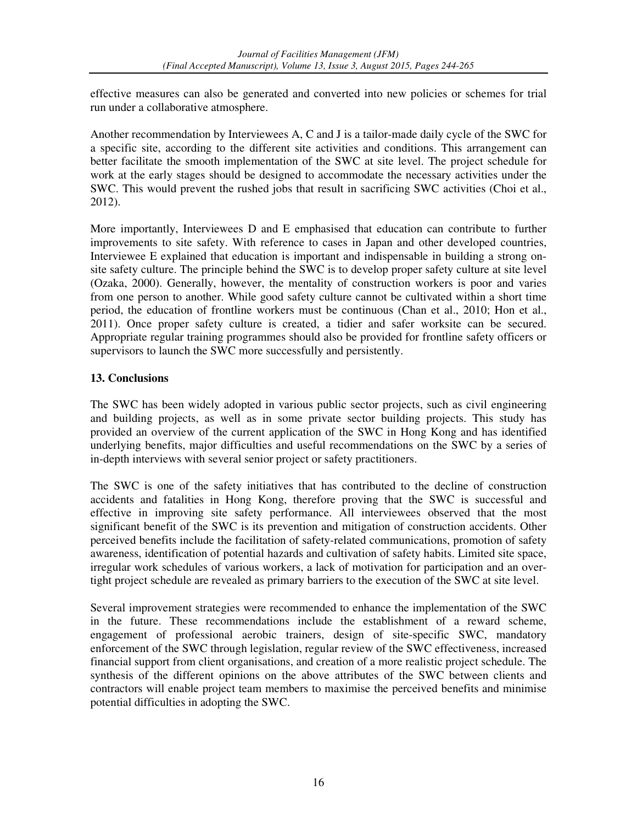effective measures can also be generated and converted into new policies or schemes for trial run under a collaborative atmosphere.

Another recommendation by Interviewees A, C and J is a tailor-made daily cycle of the SWC for a specific site, according to the different site activities and conditions. This arrangement can better facilitate the smooth implementation of the SWC at site level. The project schedule for work at the early stages should be designed to accommodate the necessary activities under the SWC. This would prevent the rushed jobs that result in sacrificing SWC activities (Choi et al., 2012).

More importantly, Interviewees D and E emphasised that education can contribute to further improvements to site safety. With reference to cases in Japan and other developed countries, Interviewee E explained that education is important and indispensable in building a strong onsite safety culture. The principle behind the SWC is to develop proper safety culture at site level (Ozaka, 2000). Generally, however, the mentality of construction workers is poor and varies from one person to another. While good safety culture cannot be cultivated within a short time period, the education of frontline workers must be continuous (Chan et al., 2010; Hon et al., 2011). Once proper safety culture is created, a tidier and safer worksite can be secured. Appropriate regular training programmes should also be provided for frontline safety officers or supervisors to launch the SWC more successfully and persistently.

# **13. Conclusions**

The SWC has been widely adopted in various public sector projects, such as civil engineering and building projects, as well as in some private sector building projects. This study has provided an overview of the current application of the SWC in Hong Kong and has identified underlying benefits, major difficulties and useful recommendations on the SWC by a series of in-depth interviews with several senior project or safety practitioners.

The SWC is one of the safety initiatives that has contributed to the decline of construction accidents and fatalities in Hong Kong, therefore proving that the SWC is successful and effective in improving site safety performance. All interviewees observed that the most significant benefit of the SWC is its prevention and mitigation of construction accidents. Other perceived benefits include the facilitation of safety-related communications, promotion of safety awareness, identification of potential hazards and cultivation of safety habits. Limited site space, irregular work schedules of various workers, a lack of motivation for participation and an overtight project schedule are revealed as primary barriers to the execution of the SWC at site level.

Several improvement strategies were recommended to enhance the implementation of the SWC in the future. These recommendations include the establishment of a reward scheme, engagement of professional aerobic trainers, design of site-specific SWC, mandatory enforcement of the SWC through legislation, regular review of the SWC effectiveness, increased financial support from client organisations, and creation of a more realistic project schedule. The synthesis of the different opinions on the above attributes of the SWC between clients and contractors will enable project team members to maximise the perceived benefits and minimise potential difficulties in adopting the SWC.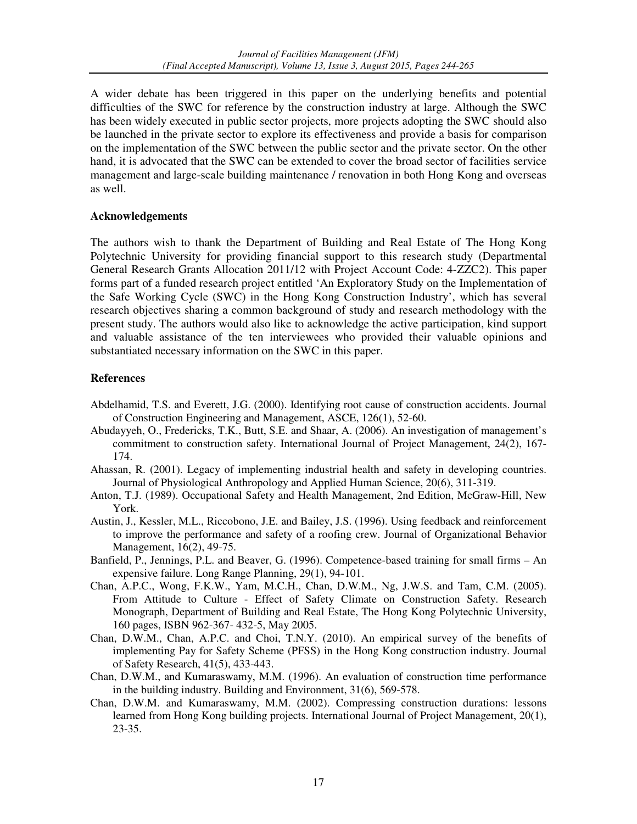A wider debate has been triggered in this paper on the underlying benefits and potential difficulties of the SWC for reference by the construction industry at large. Although the SWC has been widely executed in public sector projects, more projects adopting the SWC should also be launched in the private sector to explore its effectiveness and provide a basis for comparison on the implementation of the SWC between the public sector and the private sector. On the other hand, it is advocated that the SWC can be extended to cover the broad sector of facilities service management and large-scale building maintenance / renovation in both Hong Kong and overseas as well.

#### **Acknowledgements**

The authors wish to thank the Department of Building and Real Estate of The Hong Kong Polytechnic University for providing financial support to this research study (Departmental General Research Grants Allocation 2011/12 with Project Account Code: 4-ZZC2). This paper forms part of a funded research project entitled 'An Exploratory Study on the Implementation of the Safe Working Cycle (SWC) in the Hong Kong Construction Industry', which has several research objectives sharing a common background of study and research methodology with the present study. The authors would also like to acknowledge the active participation, kind support and valuable assistance of the ten interviewees who provided their valuable opinions and substantiated necessary information on the SWC in this paper.

### **References**

- Abdelhamid, T.S. and Everett, J.G. (2000). Identifying root cause of construction accidents. Journal of Construction Engineering and Management, ASCE, 126(1), 52-60.
- Abudayyeh, O., Fredericks, T.K., Butt, S.E. and Shaar, A. (2006). An investigation of management's commitment to construction safety. International Journal of Project Management, 24(2), 167- 174.
- Ahassan, R. (2001). Legacy of implementing industrial health and safety in developing countries. Journal of Physiological Anthropology and Applied Human Science, 20(6), 311-319.
- Anton, T.J. (1989). Occupational Safety and Health Management, 2nd Edition, McGraw-Hill, New York.
- Austin, J., Kessler, M.L., Riccobono, J.E. and Bailey, J.S. (1996). Using feedback and reinforcement to improve the performance and safety of a roofing crew. Journal of Organizational Behavior Management, 16(2), 49-75.
- Banfield, P., Jennings, P.L. and Beaver, G. (1996). Competence-based training for small firms An expensive failure. Long Range Planning, 29(1), 94-101.
- Chan, A.P.C., Wong, F.K.W., Yam, M.C.H., Chan, D.W.M., Ng, J.W.S. and Tam, C.M. (2005). From Attitude to Culture - Effect of Safety Climate on Construction Safety. Research Monograph, Department of Building and Real Estate, The Hong Kong Polytechnic University, 160 pages, ISBN 962-367- 432-5, May 2005.
- Chan, D.W.M., Chan, A.P.C. and Choi, T.N.Y. (2010). An empirical survey of the benefits of implementing Pay for Safety Scheme (PFSS) in the Hong Kong construction industry. Journal of Safety Research, 41(5), 433-443.
- Chan, D.W.M., and Kumaraswamy, M.M. (1996). An evaluation of construction time performance in the building industry. Building and Environment, 31(6), 569-578.
- Chan, D.W.M. and Kumaraswamy, M.M. (2002). Compressing construction durations: lessons learned from Hong Kong building projects. International Journal of Project Management, 20(1), 23-35.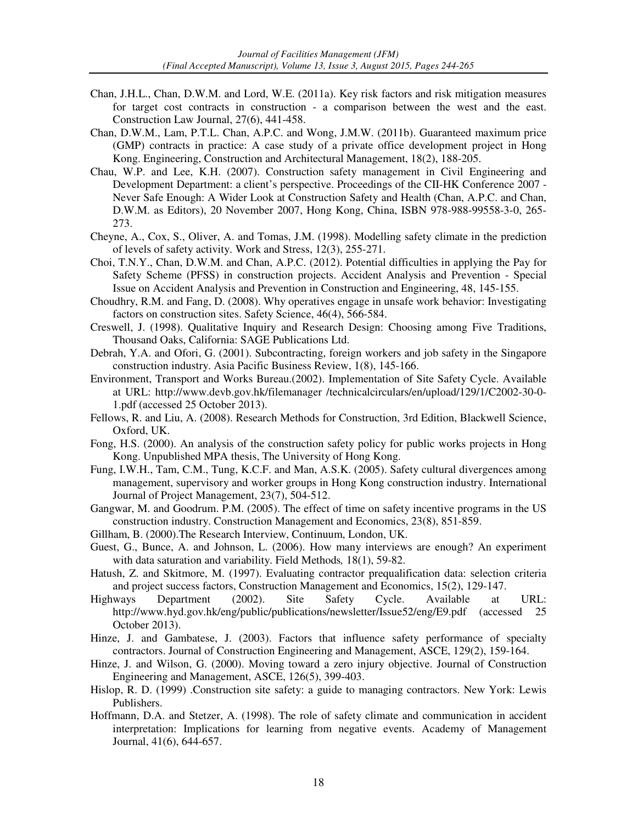- Chan, J.H.L., Chan, D.W.M. and Lord, W.E. (2011a). Key risk factors and risk mitigation measures for target cost contracts in construction - a comparison between the west and the east. Construction Law Journal, 27(6), 441-458.
- Chan, D.W.M., Lam, P.T.L. Chan, A.P.C. and Wong, J.M.W. (2011b). Guaranteed maximum price (GMP) contracts in practice: A case study of a private office development project in Hong Kong. Engineering, Construction and Architectural Management, 18(2), 188-205.
- Chau, W.P. and Lee, K.H. (2007). Construction safety management in Civil Engineering and Development Department: a client's perspective. Proceedings of the CII-HK Conference 2007 - Never Safe Enough: A Wider Look at Construction Safety and Health (Chan, A.P.C. and Chan, D.W.M. as Editors), 20 November 2007, Hong Kong, China, ISBN 978-988-99558-3-0, 265- 273.
- Cheyne, A., Cox, S., Oliver, A. and Tomas, J.M. (1998). Modelling safety climate in the prediction of levels of safety activity. Work and Stress, 12(3), 255-271.
- Choi, T.N.Y., Chan, D.W.M. and Chan, A.P.C. (2012). Potential difficulties in applying the Pay for Safety Scheme (PFSS) in construction projects. Accident Analysis and Prevention - Special Issue on Accident Analysis and Prevention in Construction and Engineering, 48, 145-155.
- Choudhry, R.M. and Fang, D. (2008). Why operatives engage in unsafe work behavior: Investigating factors on construction sites. Safety Science, 46(4), 566-584.
- Creswell, J. (1998). Qualitative Inquiry and Research Design: Choosing among Five Traditions, Thousand Oaks, California: SAGE Publications Ltd.
- Debrah, Y.A. and Ofori, G. (2001). Subcontracting, foreign workers and job safety in the Singapore construction industry. Asia Pacific Business Review, 1(8), 145-166.
- Environment, Transport and Works Bureau.(2002). Implementation of Site Safety Cycle. Available at URL: http://www.devb.gov.hk/filemanager /technicalcirculars/en/upload/129/1/C2002-30-0- 1.pdf (accessed 25 October 2013).
- Fellows, R. and Liu, A. (2008). Research Methods for Construction, 3rd Edition, Blackwell Science, Oxford, UK.
- Fong, H.S. (2000). An analysis of the construction safety policy for public works projects in Hong Kong. Unpublished MPA thesis, The University of Hong Kong.
- Fung, I.W.H., Tam, C.M., Tung, K.C.F. and Man, A.S.K. (2005). Safety cultural divergences among management, supervisory and worker groups in Hong Kong construction industry. International Journal of Project Management, 23(7), 504-512.
- Gangwar, M. and Goodrum. P.M. (2005). The effect of time on safety incentive programs in the US construction industry. Construction Management and Economics, 23(8), 851-859.
- Gillham, B. (2000).The Research Interview, Continuum, London, UK.
- Guest, G., Bunce, A. and Johnson, L. (2006). How many interviews are enough? An experiment with data saturation and variability. Field Methods*,* 18(1), 59-82.
- Hatush, Z. and Skitmore, M. (1997). Evaluating contractor prequalification data: selection criteria and project success factors, Construction Management and Economics, 15(2), 129-147.<br>wavs Department (2002). Site Safety Cycle. Available at
- Highways Department (2002). Site Safety Cycle. Available at URL: http://www.hyd.gov.hk/eng/public/publications/newsletter/Issue52/eng/E9.pdf (accessed 25 October 2013).
- Hinze, J. and Gambatese, J. (2003). Factors that influence safety performance of specialty contractors. Journal of Construction Engineering and Management, ASCE, 129(2), 159-164.
- Hinze, J. and Wilson, G. (2000). Moving toward a zero injury objective. Journal of Construction Engineering and Management, ASCE, 126(5), 399-403.
- Hislop, R. D. (1999) .Construction site safety: a guide to managing contractors. New York: Lewis Publishers.
- Hoffmann, D.A. and Stetzer, A. (1998). The role of safety climate and communication in accident interpretation: Implications for learning from negative events. Academy of Management Journal, 41(6), 644-657.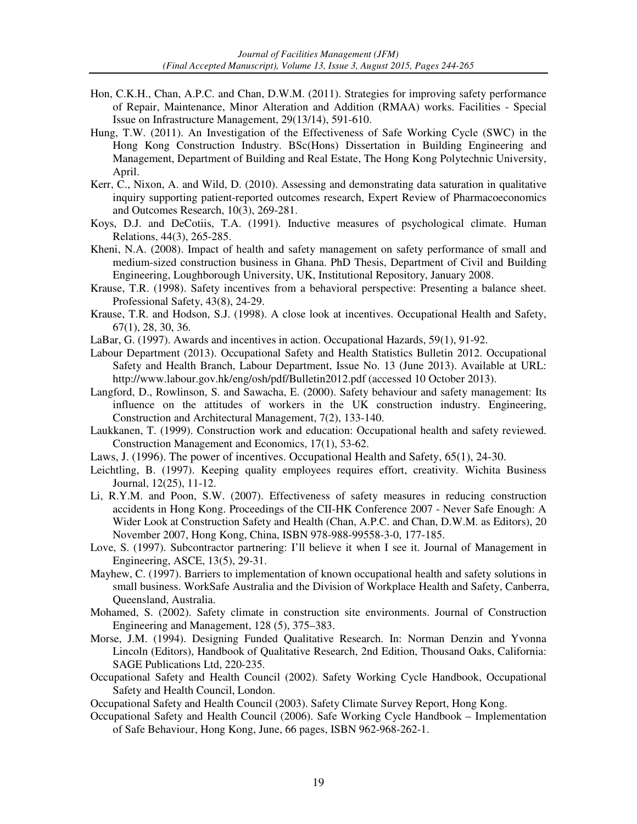- Hon, C.K.H., Chan, A.P.C. and Chan, D.W.M. (2011). Strategies for improving safety performance of Repair, Maintenance, Minor Alteration and Addition (RMAA) works. Facilities - Special Issue on Infrastructure Management, 29(13/14), 591-610.
- Hung, T.W. (2011). An Investigation of the Effectiveness of Safe Working Cycle (SWC) in the Hong Kong Construction Industry. BSc(Hons) Dissertation in Building Engineering and Management, Department of Building and Real Estate, The Hong Kong Polytechnic University, April.
- Kerr, C., Nixon, A. and Wild, D. (2010). Assessing and demonstrating data saturation in qualitative inquiry supporting patient-reported outcomes research, Expert Review of Pharmacoeconomics and Outcomes Research, 10(3), 269-281.
- Koys, D.J. and DeCotiis, T.A. (1991). Inductive measures of psychological climate. Human Relations, 44(3), 265-285.
- Kheni, N.A. (2008). Impact of health and safety management on safety performance of small and medium-sized construction business in Ghana. PhD Thesis, Department of Civil and Building Engineering, Loughborough University, UK, Institutional Repository, January 2008.
- Krause, T.R. (1998). Safety incentives from a behavioral perspective: Presenting a balance sheet. Professional Safety, 43(8), 24-29.
- Krause, T.R. and Hodson, S.J. (1998). A close look at incentives. Occupational Health and Safety, 67(1), 28, 30, 36.
- LaBar, G. (1997). Awards and incentives in action. Occupational Hazards, 59(1), 91-92.
- Labour Department (2013). Occupational Safety and Health Statistics Bulletin 2012. Occupational Safety and Health Branch, Labour Department, Issue No. 13 (June 2013). Available at URL: http://www.labour.gov.hk/eng/osh/pdf/Bulletin2012.pdf (accessed 10 October 2013).
- Langford, D., Rowlinson, S. and Sawacha, E. (2000). Safety behaviour and safety management: Its influence on the attitudes of workers in the UK construction industry. Engineering, Construction and Architectural Management, 7(2), 133-140.
- Laukkanen, T. (1999). Construction work and education: Occupational health and safety reviewed. Construction Management and Economics, 17(1), 53-62.
- Laws, J. (1996). The power of incentives. Occupational Health and Safety, 65(1), 24-30.
- Leichtling, B. (1997). Keeping quality employees requires effort, creativity. Wichita Business Journal, 12(25), 11-12.
- Li, R.Y.M. and Poon, S.W. (2007). Effectiveness of safety measures in reducing construction accidents in Hong Kong. Proceedings of the CII-HK Conference 2007 - Never Safe Enough: A Wider Look at Construction Safety and Health (Chan, A.P.C. and Chan, D.W.M. as Editors), 20 November 2007, Hong Kong, China, ISBN 978-988-99558-3-0, 177-185.
- Love, S. (1997). Subcontractor partnering: I'll believe it when I see it. Journal of Management in Engineering, ASCE, 13(5), 29-31.
- Mayhew, C. (1997). Barriers to implementation of known occupational health and safety solutions in small business. WorkSafe Australia and the Division of Workplace Health and Safety, Canberra, Queensland, Australia.
- Mohamed, S. (2002). Safety climate in construction site environments. Journal of Construction Engineering and Management, 128 (5), 375–383.
- Morse, J.M. (1994). Designing Funded Qualitative Research. In: Norman Denzin and Yvonna Lincoln (Editors), Handbook of Qualitative Research, 2nd Edition, Thousand Oaks, California: SAGE Publications Ltd, 220-235.
- Occupational Safety and Health Council (2002). Safety Working Cycle Handbook, Occupational Safety and Health Council, London.
- Occupational Safety and Health Council (2003). Safety Climate Survey Report, Hong Kong.
- Occupational Safety and Health Council (2006). Safe Working Cycle Handbook Implementation of Safe Behaviour, Hong Kong, June, 66 pages, ISBN 962-968-262-1.